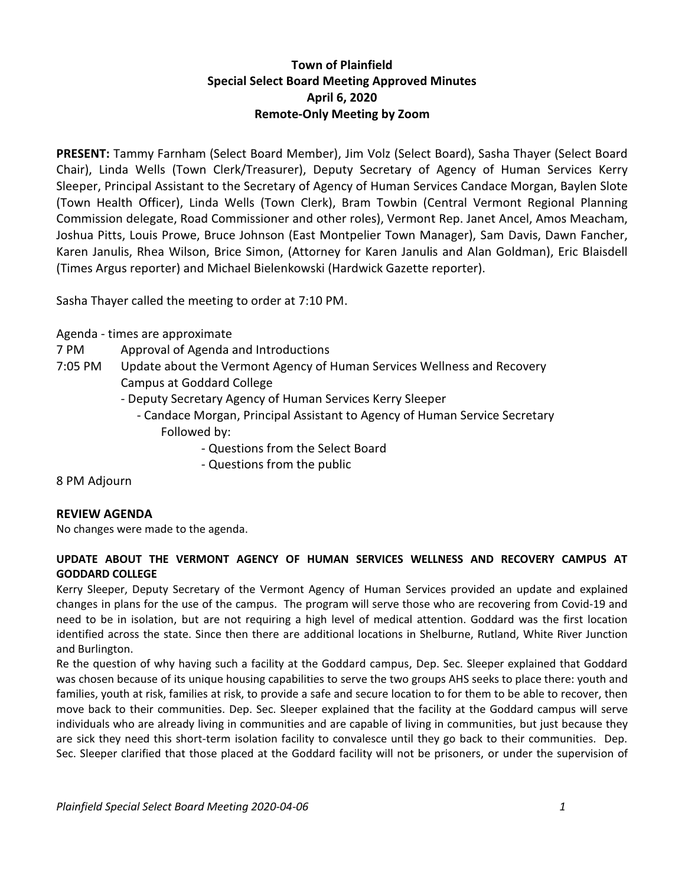## **Town of Plainfield Special Select Board Meeting Approved Minutes April 6, 2020 Remote-Only Meeting by Zoom**

**PRESENT:** Tammy Farnham (Select Board Member), Jim Volz (Select Board), Sasha Thayer (Select Board Chair), Linda Wells (Town Clerk/Treasurer), Deputy Secretary of Agency of Human Services Kerry Sleeper, Principal Assistant to the Secretary of Agency of Human Services Candace Morgan, Baylen Slote (Town Health Officer), Linda Wells (Town Clerk), Bram Towbin (Central Vermont Regional Planning Commission delegate, Road Commissioner and other roles), Vermont Rep. Janet Ancel, Amos Meacham, Joshua Pitts, Louis Prowe, Bruce Johnson (East Montpelier Town Manager), Sam Davis, Dawn Fancher, Karen Janulis, Rhea Wilson, Brice Simon, (Attorney for Karen Janulis and Alan Goldman), Eric Blaisdell (Times Argus reporter) and Michael Bielenkowski (Hardwick Gazette reporter).

Sasha Thayer called the meeting to order at 7:10 PM.

Agenda - times are approximate

- 7 PM Approval of Agenda and Introductions
- 7:05 PM Update about the Vermont Agency of Human Services Wellness and Recovery Campus at Goddard College
	- Deputy Secretary Agency of Human Services Kerry Sleeper
		- Candace Morgan, Principal Assistant to Agency of Human Service Secretary Followed by:
			- Questions from the Select Board
			- Questions from the public

8 PM Adjourn

## **REVIEW AGENDA**

No changes were made to the agenda.

## **UPDATE ABOUT THE VERMONT AGENCY OF HUMAN SERVICES WELLNESS AND RECOVERY CAMPUS AT GODDARD COLLEGE**

Kerry Sleeper, Deputy Secretary of the Vermont Agency of Human Services provided an update and explained changes in plans for the use of the campus. The program will serve those who are recovering from Covid-19 and need to be in isolation, but are not requiring a high level of medical attention. Goddard was the first location identified across the state. Since then there are additional locations in Shelburne, Rutland, White River Junction and Burlington.

Re the question of why having such a facility at the Goddard campus, Dep. Sec. Sleeper explained that Goddard was chosen because of its unique housing capabilities to serve the two groups AHS seeks to place there: youth and families, youth at risk, families at risk, to provide a safe and secure location to for them to be able to recover, then move back to their communities. Dep. Sec. Sleeper explained that the facility at the Goddard campus will serve individuals who are already living in communities and are capable of living in communities, but just because they are sick they need this short-term isolation facility to convalesce until they go back to their communities. Dep. Sec. Sleeper clarified that those placed at the Goddard facility will not be prisoners, or under the supervision of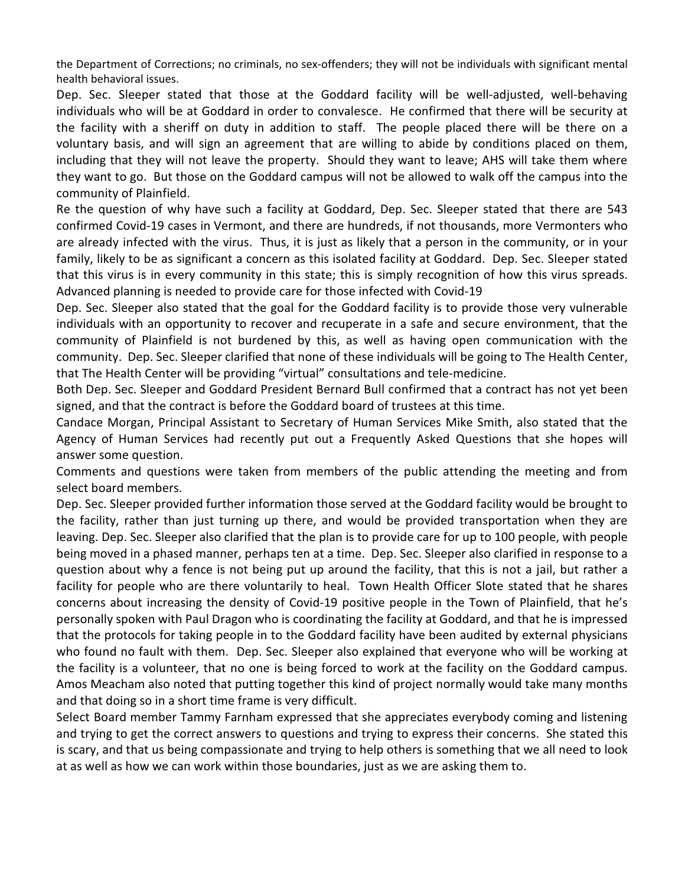the Department of Corrections; no criminals, no sex-offenders; they will not be individuals with significant mental health behavioral issues.

Dep. Sec. Sleeper stated that those at the Goddard facility will be well-adjusted, well-behaving individuals who will be at Goddard in order to convalesce. He confirmed that there will be security at the facility with a sheriff on duty in addition to staff. The people placed there will be there on a voluntary basis, and will sign an agreement that are willing to abide by conditions placed on them, including that they will not leave the property. Should they want to leave; AHS will take them where they want to go. But those on the Goddard campus will not be allowed to walk off the campus into the community of Plainfield.

Re the question of why have such a facility at Goddard, Dep. Sec. Sleeper stated that there are 543 confirmed Covid-19 cases in Vermont, and there are hundreds, if not thousands, more Vermonters who are already infected with the virus. Thus, it is just as likely that a person in the community, or in your family, likely to be as significant a concern as this isolated facility at Goddard. Dep. Sec. Sleeper stated that this virus is in every community in this state; this is simply recognition of how this virus spreads. Advanced planning is needed to provide care for those infected with Covid-19

Dep. Sec. Sleeper also stated that the goal for the Goddard facility is to provide those very vulnerable individuals with an opportunity to recover and recuperate in a safe and secure environment, that the community of Plainfield is not burdened by this, as well as having open communication with the community. Dep. Sec. Sleeper clarified that none of these individuals will be going to The Health Center, that The Health Center will be providing "virtual" consultations and tele-medicine.

Both Dep. Sec. Sleeper and Goddard President Bernard Bull confirmed that a contract has not yet been signed, and that the contract is before the Goddard board of trustees at this time.

Candace Morgan, Principal Assistant to Secretary of Human Services Mike Smith, also stated that the Agency of Human Services had recently put out a Frequently Asked Questions that she hopes will answer some question.

Comments and questions were taken from members of the public attending the meeting and from select board members.

Dep. Sec. Sleeper provided further information those served at the Goddard facility would be brought to the facility, rather than just turning up there, and would be provided transportation when they are leaving. Dep. Sec. Sleeper also clarified that the plan is to provide care for up to 100 people, with people being moved in a phased manner, perhaps ten at a time. Dep. Sec. Sleeper also clarified in response to a question about why a fence is not being put up around the facility, that this is not a jail, but rather a facility for people who are there voluntarily to heal. Town Health Officer Slote stated that he shares concerns about increasing the density of Covid-19 positive people in the Town of Plainfield, that he's personally spoken with Paul Dragon who is coordinating the facility at Goddard, and that he is impressed that the protocols for taking people in to the Goddard facility have been audited by external physicians who found no fault with them. Dep. Sec. Sleeper also explained that everyone who will be working at the facility is a volunteer, that no one is being forced to work at the facility on the Goddard campus. Amos Meacham also noted that putting together this kind of project normally would take many months and that doing so in a short time frame is very difficult.

Select Board member Tammy Farnham expressed that she appreciates everybody coming and listening and trying to get the correct answers to questions and trying to express their concerns. She stated this is scary, and that us being compassionate and trying to help others is something that we all need to look at as well as how we can work within those boundaries, just as we are asking them to.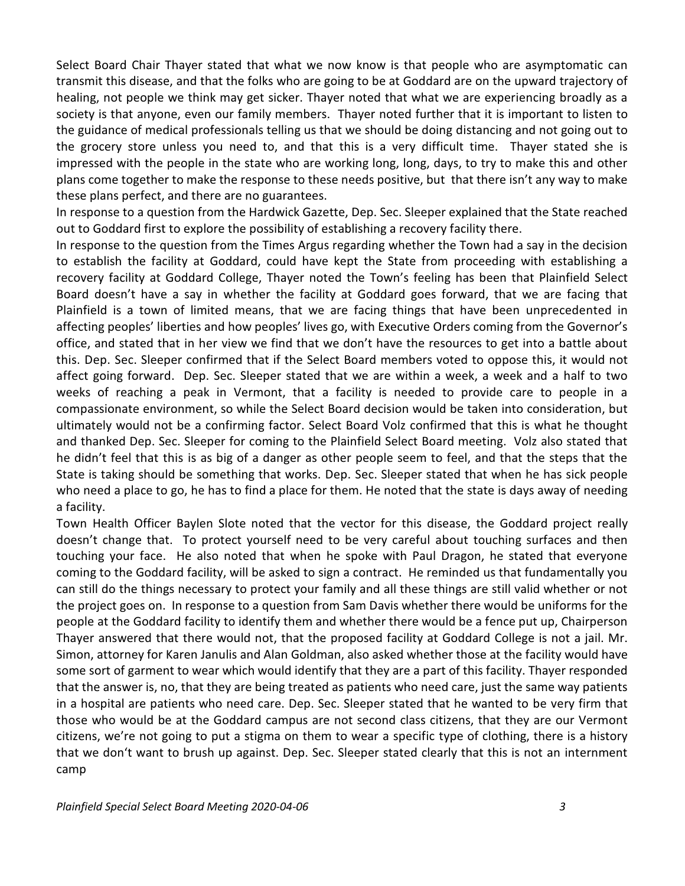Select Board Chair Thayer stated that what we now know is that people who are asymptomatic can transmit this disease, and that the folks who are going to be at Goddard are on the upward trajectory of healing, not people we think may get sicker. Thayer noted that what we are experiencing broadly as a society is that anyone, even our family members. Thayer noted further that it is important to listen to the guidance of medical professionals telling us that we should be doing distancing and not going out to the grocery store unless you need to, and that this is a very difficult time. Thayer stated she is impressed with the people in the state who are working long, long, days, to try to make this and other plans come together to make the response to these needs positive, but that there isn't any way to make these plans perfect, and there are no guarantees.

In response to a question from the Hardwick Gazette, Dep. Sec. Sleeper explained that the State reached out to Goddard first to explore the possibility of establishing a recovery facility there.

In response to the question from the Times Argus regarding whether the Town had a say in the decision to establish the facility at Goddard, could have kept the State from proceeding with establishing a recovery facility at Goddard College, Thayer noted the Town's feeling has been that Plainfield Select Board doesn't have a say in whether the facility at Goddard goes forward, that we are facing that Plainfield is a town of limited means, that we are facing things that have been unprecedented in affecting peoples' liberties and how peoples' lives go, with Executive Orders coming from the Governor's office, and stated that in her view we find that we don't have the resources to get into a battle about this. Dep. Sec. Sleeper confirmed that if the Select Board members voted to oppose this, it would not affect going forward. Dep. Sec. Sleeper stated that we are within a week, a week and a half to two weeks of reaching a peak in Vermont, that a facility is needed to provide care to people in a compassionate environment, so while the Select Board decision would be taken into consideration, but ultimately would not be a confirming factor. Select Board Volz confirmed that this is what he thought and thanked Dep. Sec. Sleeper for coming to the Plainfield Select Board meeting. Volz also stated that he didn't feel that this is as big of a danger as other people seem to feel, and that the steps that the State is taking should be something that works. Dep. Sec. Sleeper stated that when he has sick people who need a place to go, he has to find a place for them. He noted that the state is days away of needing a facility.

Town Health Officer Baylen Slote noted that the vector for this disease, the Goddard project really doesn't change that. To protect yourself need to be very careful about touching surfaces and then touching your face. He also noted that when he spoke with Paul Dragon, he stated that everyone coming to the Goddard facility, will be asked to sign a contract. He reminded us that fundamentally you can still do the things necessary to protect your family and all these things are still valid whether or not the project goes on. In response to a question from Sam Davis whether there would be uniforms for the people at the Goddard facility to identify them and whether there would be a fence put up, Chairperson Thayer answered that there would not, that the proposed facility at Goddard College is not a jail. Mr. Simon, attorney for Karen Janulis and Alan Goldman, also asked whether those at the facility would have some sort of garment to wear which would identify that they are a part of this facility. Thayer responded that the answer is, no, that they are being treated as patients who need care, just the same way patients in a hospital are patients who need care. Dep. Sec. Sleeper stated that he wanted to be very firm that those who would be at the Goddard campus are not second class citizens, that they are our Vermont citizens, we're not going to put a stigma on them to wear a specific type of clothing, there is a history that we don't want to brush up against. Dep. Sec. Sleeper stated clearly that this is not an internment camp